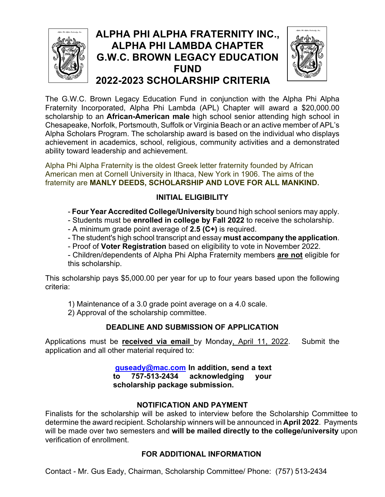

# **ALPHA PHI ALPHA FRATERNITY INC., ALPHA PHI LAMBDA CHAPTER G.W.C. BROWN LEGACY EDUCATION FUND 2022-2023 SCHOLARSHIP CRITERIA**



The G.W.C. Brown Legacy Education Fund in conjunction with the Alpha Phi Alpha Fraternity Incorporated, Alpha Phi Lambda (APL) Chapter will award a \$20,000.00 scholarship to an **African-American male** high school senior attending high school in Chesapeake, Norfolk, Portsmouth, Suffolk or Virginia Beach or an active member of APL's Alpha Scholars Program. The scholarship award is based on the individual who displays achievement in academics, school, religious, community activities and a demonstrated ability toward leadership and achievement.

Alpha Phi Alpha Fraternity is the oldest Greek letter fraternity founded by African American men at Cornell University in Ithaca, New York in 1906. The aims of the fraternity are **MANLY DEEDS, SCHOLARSHIP AND LOVE FOR ALL MANKIND.**

### **INITIAL ELIGIBILITY**

- **Four Year Accredited College/University** bound high school seniors may apply.
- Students must be **enrolled in college by Fall 2022** to receive the scholarship.
- A minimum grade point average of **2.5 (C+)** is required.
- The student's high school transcript and essay **must accompany the application**.
- Proof of **Voter Registration** based on eligibility to vote in November 2022.

- Children/dependents of Alpha Phi Alpha Fraternity members **are not** eligible for this scholarship.

This scholarship pays \$5,000.00 per year for up to four years based upon the following criteria:

1) Maintenance of a 3.0 grade point average on a 4.0 scale.

2) Approval of the scholarship committee.

### **DEADLINE AND SUBMISSION OF APPLICATION**

Applications must be **received via email** by Monday, April 11, 2022. Submit the application and all other material required to:

> **guseady@mac.com In addition, send a text to 757-513-2434 acknowledging your scholarship package submission.**

### **NOTIFICATION AND PAYMENT**

Finalists for the scholarship will be asked to interview before the Scholarship Committee to determine the award recipient. Scholarship winners will be announced in **April 2022**. Payments will be made over two semesters and **will be mailed directly to the college/university** upon verification of enrollment.

## **FOR ADDITIONAL INFORMATION**

Contact - Mr. Gus Eady, Chairman, Scholarship Committee/ Phone: (757) 513-2434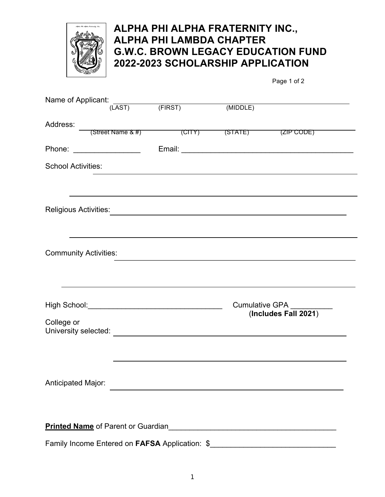

## **ALPHA PHI ALPHA FRATERNITY INC., ALPHA PHI LAMBDA CHAPTER G.W.C. BROWN LEGACY EDUCATION FUND 2022-2023 SCHOLARSHIP APPLICATION**

Page 1 of 2

| Name of Applicant:           |                             | $(LAST)$ $(FIRST)$                                                                                                  | (MIDDLE)              |                                                |  |
|------------------------------|-----------------------------|---------------------------------------------------------------------------------------------------------------------|-----------------------|------------------------------------------------|--|
|                              |                             |                                                                                                                     |                       |                                                |  |
| Address:                     |                             | (Street Name & #) (CITY) (STATE) (ZIP CODE)                                                                         |                       |                                                |  |
|                              |                             |                                                                                                                     |                       |                                                |  |
|                              | Phone: ____________________ |                                                                                                                     |                       |                                                |  |
| <b>School Activities:</b>    |                             |                                                                                                                     |                       |                                                |  |
|                              |                             |                                                                                                                     |                       |                                                |  |
|                              |                             |                                                                                                                     |                       |                                                |  |
|                              |                             |                                                                                                                     |                       |                                                |  |
|                              |                             |                                                                                                                     |                       |                                                |  |
|                              |                             |                                                                                                                     |                       |                                                |  |
| <b>Community Activities:</b> |                             |                                                                                                                     |                       |                                                |  |
|                              |                             |                                                                                                                     |                       |                                                |  |
|                              |                             |                                                                                                                     |                       |                                                |  |
|                              |                             |                                                                                                                     |                       |                                                |  |
|                              |                             |                                                                                                                     | <b>Cumulative GPA</b> |                                                |  |
|                              |                             |                                                                                                                     |                       | (Includes Fall 2021)                           |  |
| College or                   |                             |                                                                                                                     |                       |                                                |  |
|                              |                             |                                                                                                                     |                       |                                                |  |
|                              |                             |                                                                                                                     |                       |                                                |  |
|                              |                             |                                                                                                                     |                       |                                                |  |
| Anticipated Major:           |                             |                                                                                                                     |                       |                                                |  |
|                              |                             |                                                                                                                     |                       |                                                |  |
|                              |                             |                                                                                                                     |                       |                                                |  |
|                              |                             | Printed Name of Parent or Guardian<br>Manusian Manusian Annus Manusian Manusian Manusian Manusian Manusian Manusian |                       |                                                |  |
|                              |                             |                                                                                                                     |                       |                                                |  |
|                              |                             |                                                                                                                     |                       | Family Income Entered on FAFSA Application: \$ |  |